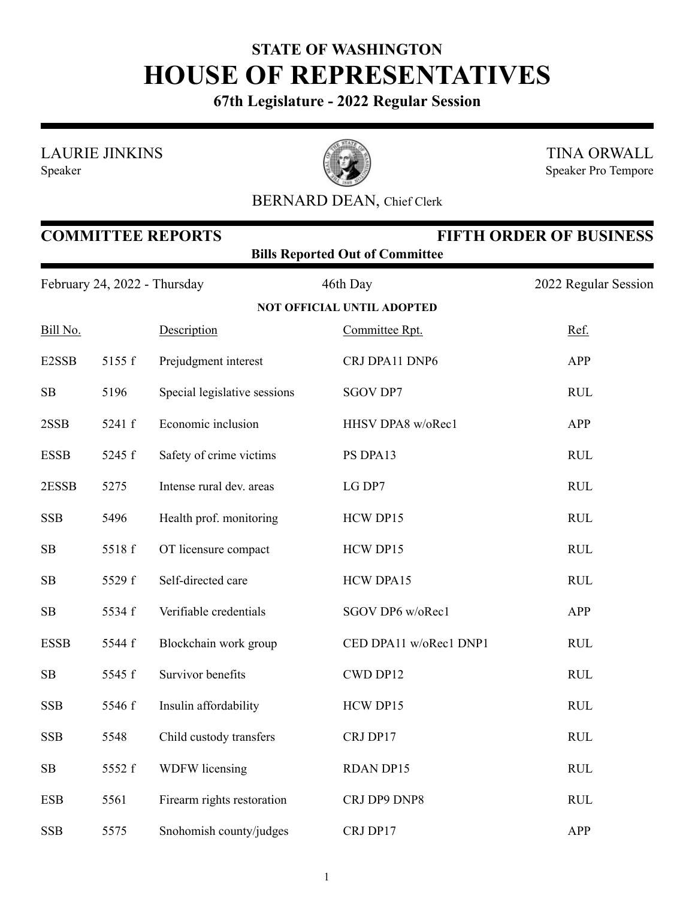## **STATE OF WASHINGTON HOUSE OF REPRESENTATIVES**

**67th Legislature - 2022 Regular Session**

LAURIE JINKINS

Speaker



TINA ORWALL Speaker Pro Tempore

## BERNARD DEAN, Chief Clerk

| <b>COMMITTEE REPORTS</b><br><b>FIFTH ORDER OF BUSINESS</b><br><b>Bills Reported Out of Committee</b> |        |                              |                                   |                      |  |  |  |
|------------------------------------------------------------------------------------------------------|--------|------------------------------|-----------------------------------|----------------------|--|--|--|
| February 24, 2022 - Thursday                                                                         |        |                              | 46th Day                          | 2022 Regular Session |  |  |  |
|                                                                                                      |        |                              | <b>NOT OFFICIAL UNTIL ADOPTED</b> |                      |  |  |  |
| Bill No.                                                                                             |        | Description                  | Committee Rpt.                    | Ref.                 |  |  |  |
| E2SSB                                                                                                | 5155 f | Prejudgment interest         | CRJ DPA11 DNP6                    | APP                  |  |  |  |
| SB                                                                                                   | 5196   | Special legislative sessions | <b>SGOV DP7</b>                   | <b>RUL</b>           |  |  |  |
| 2SSB                                                                                                 | 5241 f | Economic inclusion           | HHSV DPA8 w/oRec1                 | APP                  |  |  |  |
| <b>ESSB</b>                                                                                          | 5245 f | Safety of crime victims      | PS DPA13                          | <b>RUL</b>           |  |  |  |
| 2ESSB                                                                                                | 5275   | Intense rural dev. areas     | LG DP7                            | <b>RUL</b>           |  |  |  |
| <b>SSB</b>                                                                                           | 5496   | Health prof. monitoring      | HCW DP15                          | <b>RUL</b>           |  |  |  |
| SB                                                                                                   | 5518 f | OT licensure compact         | HCW DP15                          | <b>RUL</b>           |  |  |  |
| SB                                                                                                   | 5529 f | Self-directed care           | <b>HCW DPA15</b>                  | <b>RUL</b>           |  |  |  |
| SB                                                                                                   | 5534 f | Verifiable credentials       | SGOV DP6 w/oRec1                  | APP                  |  |  |  |
| <b>ESSB</b>                                                                                          | 5544 f | Blockchain work group        | CED DPA11 w/oRec1 DNP1            | RUL                  |  |  |  |
| SB                                                                                                   | 5545 f | Survivor benefits            | CWD DP12                          | <b>RUL</b>           |  |  |  |
| <b>SSB</b>                                                                                           | 5546 f | Insulin affordability        | HCW DP15                          | <b>RUL</b>           |  |  |  |
| <b>SSB</b>                                                                                           | 5548   | Child custody transfers      | CRJ DP17                          | <b>RUL</b>           |  |  |  |
| SB                                                                                                   | 5552 f | <b>WDFW</b> licensing        | <b>RDAN DP15</b>                  | <b>RUL</b>           |  |  |  |
| <b>ESB</b>                                                                                           | 5561   | Firearm rights restoration   | CRJ DP9 DNP8                      | RUL                  |  |  |  |
| <b>SSB</b>                                                                                           | 5575   | Snohomish county/judges      | CRJ DP17                          | APP                  |  |  |  |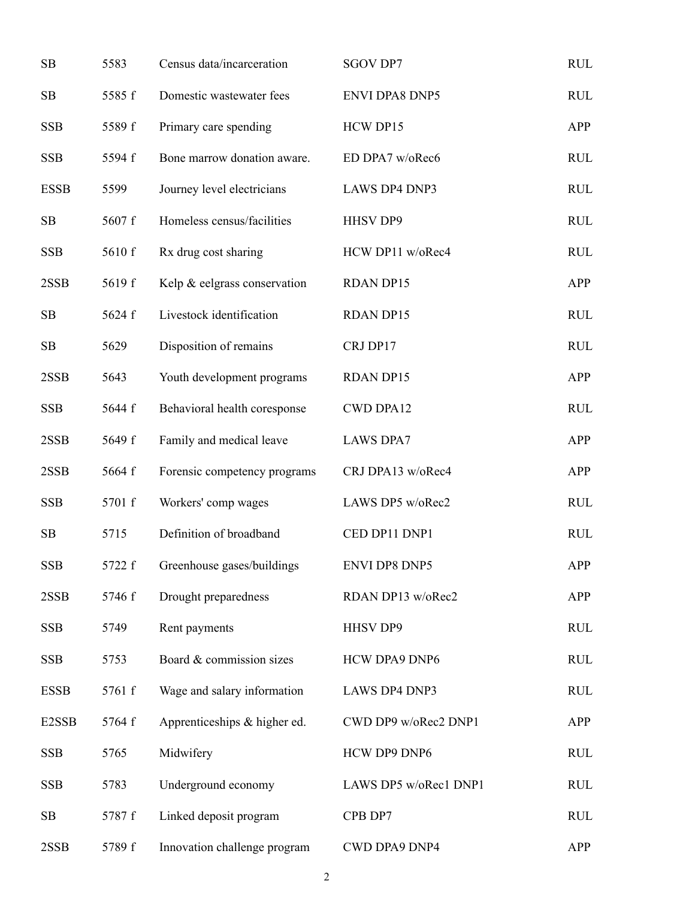| SB                 | 5583   | Census data/incarceration    | <b>SGOV DP7</b>       | <b>RUL</b> |
|--------------------|--------|------------------------------|-----------------------|------------|
| SB                 | 5585 f | Domestic wastewater fees     | <b>ENVI DPA8 DNP5</b> | <b>RUL</b> |
| <b>SSB</b>         | 5589 f | Primary care spending        | HCW DP15              | APP        |
| <b>SSB</b>         | 5594 f | Bone marrow donation aware.  | ED DPA7 w/oRec6       | <b>RUL</b> |
| <b>ESSB</b>        | 5599   | Journey level electricians   | LAWS DP4 DNP3         | <b>RUL</b> |
| SB                 | 5607 f | Homeless census/facilities   | <b>HHSV DP9</b>       | <b>RUL</b> |
| <b>SSB</b>         | 5610 f | Rx drug cost sharing         | HCW DP11 w/oRec4      | <b>RUL</b> |
| 2SSB               | 5619 f | Kelp & eelgrass conservation | <b>RDAN DP15</b>      | APP        |
| SB                 | 5624 f | Livestock identification     | <b>RDAN DP15</b>      | <b>RUL</b> |
| SB                 | 5629   | Disposition of remains       | CRJ DP17              | <b>RUL</b> |
| 2SSB               | 5643   | Youth development programs   | <b>RDAN DP15</b>      | <b>APP</b> |
| <b>SSB</b>         | 5644 f | Behavioral health coresponse | <b>CWD DPA12</b>      | <b>RUL</b> |
| 2SSB               | 5649 f | Family and medical leave     | <b>LAWS DPA7</b>      | <b>APP</b> |
| 2SSB               | 5664 f | Forensic competency programs | CRJ DPA13 w/oRec4     | <b>APP</b> |
| <b>SSB</b>         | 5701 f | Workers' comp wages          | LAWS DP5 w/oRec2      | <b>RUL</b> |
| SB                 | 5715   | Definition of broadband      | CED DP11 DNP1         | <b>RUL</b> |
| <b>SSB</b>         | 5722 f | Greenhouse gases/buildings   | <b>ENVI DP8 DNP5</b>  | APP        |
| 2SSB               | 5746 f | Drought preparedness         | RDAN DP13 w/oRec2     | <b>APP</b> |
| <b>SSB</b>         | 5749   | Rent payments                | HHSV DP9              | <b>RUL</b> |
| <b>SSB</b>         | 5753   | Board & commission sizes     | <b>HCW DPA9 DNP6</b>  | <b>RUL</b> |
| <b>ESSB</b>        | 5761 f | Wage and salary information  | <b>LAWS DP4 DNP3</b>  | <b>RUL</b> |
| E <sub>2</sub> SSB | 5764 f | Apprenticeships & higher ed. | CWD DP9 w/oRec2 DNP1  | <b>APP</b> |
| <b>SSB</b>         | 5765   | Midwifery                    | HCW DP9 DNP6          | <b>RUL</b> |
| <b>SSB</b>         | 5783   | Underground economy          | LAWS DP5 w/oRec1 DNP1 | <b>RUL</b> |
| SB                 | 5787 f | Linked deposit program       | CPB DP7               | <b>RUL</b> |
| 2SSB               | 5789 f | Innovation challenge program | <b>CWD DPA9 DNP4</b>  | <b>APP</b> |